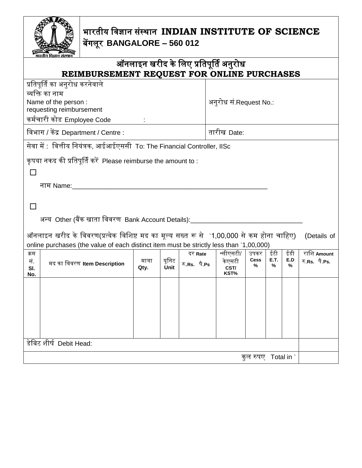

## भारतीय विज्ञान संस्थान **INDIAN INSTITUTE OF SCIENCE** बेंगलूर **BANGALORE – 560 012**

|                                                                                                         | -<br>भारतीय विज्ञान संस्थान                                                                                          |                |               |              |                        |                   |                  |          |               |  |
|---------------------------------------------------------------------------------------------------------|----------------------------------------------------------------------------------------------------------------------|----------------|---------------|--------------|------------------------|-------------------|------------------|----------|---------------|--|
| ऑनलाइन खरीद के लिए प्रतिपूर्ति अनुरोध                                                                   |                                                                                                                      |                |               |              |                        |                   |                  |          |               |  |
| REIMBURSEMENT REQUEST FOR ONLINE PURCHASES                                                              |                                                                                                                      |                |               |              |                        |                   |                  |          |               |  |
| प्रतिपूर्ति का अनुरोध करनेवाले                                                                          |                                                                                                                      |                |               |              |                        |                   |                  |          |               |  |
|                                                                                                         | व्यक्ति का नाम                                                                                                       |                |               |              |                        |                   |                  |          |               |  |
| Name of the person :<br>requesting reimbursement                                                        |                                                                                                                      |                |               |              | अनुरोध सं.Request No.: |                   |                  |          |               |  |
| कर्मचारी कोड Employee Code<br><b>Contract Contract</b>                                                  |                                                                                                                      |                |               |              |                        |                   |                  |          |               |  |
| विभाग / केंद्र Department / Centre :                                                                    |                                                                                                                      |                |               |              | तारीख Date:            |                   |                  |          |               |  |
| सेवा में : वित्तीय नियंत्रक, आईआईएससी To: The Financial Controller, IISc                                |                                                                                                                      |                |               |              |                        |                   |                  |          |               |  |
|                                                                                                         |                                                                                                                      |                |               |              |                        |                   |                  |          |               |  |
| कृपया नकद की प्रतिपूर्ति करें Please reimburse the amount to :                                          |                                                                                                                      |                |               |              |                        |                   |                  |          |               |  |
| $\mathbf{I}$                                                                                            |                                                                                                                      |                |               |              |                        |                   |                  |          |               |  |
|                                                                                                         | नाम Name: <u>www.common.com/www.common.com/www.common.com/www.common.com/www.com/www.com/www.com/www.com/www.com</u> |                |               |              |                        |                   |                  |          |               |  |
|                                                                                                         |                                                                                                                      |                |               |              |                        |                   |                  |          |               |  |
|                                                                                                         |                                                                                                                      |                |               |              |                        |                   |                  |          |               |  |
| अन्य  Other (बैंक खाता विवरण  Bank Account Details):___________________                                 |                                                                                                                      |                |               |              |                        |                   |                  |          |               |  |
| ऑनलाइन खरीद के विवरण(प्रत्येक विशिष्ट मद का मूल्य सख्त रू से `1,00,000 से कम होना चाहिए)<br>(Details of |                                                                                                                      |                |               |              |                        |                   |                  |          |               |  |
| online purchases (the value of each distinct item must be strictly less than `1,00,000)                 |                                                                                                                      |                |               |              |                        |                   |                  |          |               |  |
| क्रम                                                                                                    |                                                                                                                      |                |               | दर Rate      | *सीएसटी/               | उपकर              | ईटी              | ईडी      | राशि Amount   |  |
| सं.<br>SI.<br>No.                                                                                       | मद का विवरण Item Description                                                                                         | मात्रा<br>Qty. | यूनिट<br>Unit | रु.Rs. पै.Ps | केएसटी<br>CST/<br>KST% | <b>Cess</b><br>%  | <b>E.T.</b><br>% | E.D<br>% | रु.Rs. पै.Ps. |  |
|                                                                                                         |                                                                                                                      |                |               |              |                        |                   |                  |          |               |  |
|                                                                                                         |                                                                                                                      |                |               |              |                        |                   |                  |          |               |  |
|                                                                                                         |                                                                                                                      |                |               |              |                        |                   |                  |          |               |  |
|                                                                                                         |                                                                                                                      |                |               |              |                        |                   |                  |          |               |  |
|                                                                                                         |                                                                                                                      |                |               |              |                        |                   |                  |          |               |  |
|                                                                                                         | डेबिट शीर्ष Debit Head:                                                                                              |                |               |              |                        |                   |                  |          |               |  |
|                                                                                                         |                                                                                                                      |                |               |              |                        |                   |                  |          |               |  |
|                                                                                                         |                                                                                                                      |                |               |              |                        | कुल रुपए Total in |                  |          |               |  |